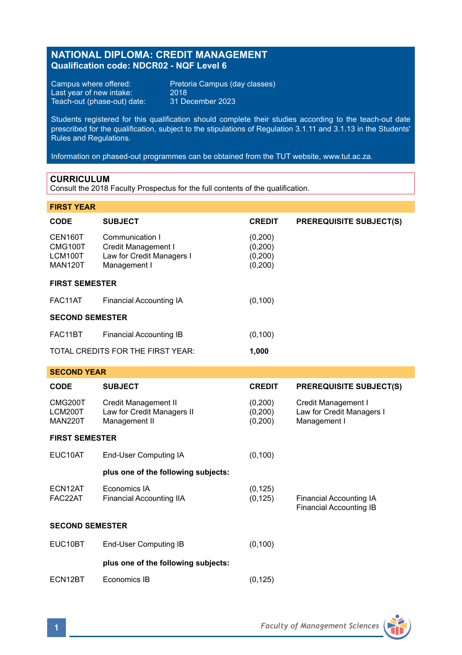# **NATIONAL DIPLOMA: CREDIT MANAGEMENT Qualification code: NDCR02 - NQF Level 6**

Last year of new intake: 2018 Teach-out (phase-out) date: 31 December 2023

Campus where offered: Pretoria Campus (day classes)<br>Last year of new intake: 2018

Students registered for this qualification should complete their studies according to the teach-out date prescribed for the qualification, subject to the stipulations of Regulation 3.1.11 and 3.1.13 in the Students' Rules and Regulations.

Information on phased-out programmes can be obtained from the TUT website, www.tut.ac.za.

### **CURRICULUM**

Consult the 2018 Faculty Prospectus for the full contents of the qualification.

## **FIRST YEAR**

| CODE                                            | <b>SUBJECT</b>                                                                      | <b>CREDIT</b>                            | <b>PREREQUISITE SUBJECT(S)</b> |  |  |  |
|-------------------------------------------------|-------------------------------------------------------------------------------------|------------------------------------------|--------------------------------|--|--|--|
| CEN160T<br>CMG100T<br>LCM100T<br><b>MAN120T</b> | Communication I<br>Credit Management I<br>Law for Credit Managers I<br>Management I | (0,200)<br>(0,200)<br>(0,200)<br>(0,200) |                                |  |  |  |
| <b>FIRST SEMESTER</b>                           |                                                                                     |                                          |                                |  |  |  |
| FAC11AT                                         | Financial Accounting IA                                                             | (0, 100)                                 |                                |  |  |  |
| <b>SECOND SEMESTER</b>                          |                                                                                     |                                          |                                |  |  |  |
| FAC11BT                                         | Financial Accounting IB                                                             | (0, 100)                                 |                                |  |  |  |
|                                                 | TOTAL CREDITS FOR THE FIRST YEAR:                                                   | 1,000                                    |                                |  |  |  |

## **SECOND YEAR**

| <b>CODE</b>                          | <b>SUBJECT</b>                                                      | <b>CREDIT</b>                 | <b>PREREQUISITE SUBJECT(S)</b>                                   |  |  |  |
|--------------------------------------|---------------------------------------------------------------------|-------------------------------|------------------------------------------------------------------|--|--|--|
| CMG200T<br>LCM200T<br><b>MAN220T</b> | Credit Management II<br>Law for Credit Managers II<br>Management II | (0,200)<br>(0,200)<br>(0,200) | Credit Management I<br>Law for Credit Managers I<br>Management I |  |  |  |
| <b>FIRST SEMESTER</b>                |                                                                     |                               |                                                                  |  |  |  |
| EUC10AT                              | End-User Computing IA                                               | (0, 100)                      |                                                                  |  |  |  |
|                                      | plus one of the following subjects:                                 |                               |                                                                  |  |  |  |
| ECN12AT<br>FAC22AT                   | Economics IA<br>Financial Accounting IIA                            | (0, 125)<br>(0, 125)          | Financial Accounting IA<br>Financial Accounting IB               |  |  |  |
| <b>SECOND SEMESTER</b>               |                                                                     |                               |                                                                  |  |  |  |
| EUC10BT                              | End-User Computing IB                                               | (0, 100)                      |                                                                  |  |  |  |
|                                      | plus one of the following subjects:                                 |                               |                                                                  |  |  |  |
| ECN12BT                              | Economics IB                                                        | (0, 125)                      |                                                                  |  |  |  |

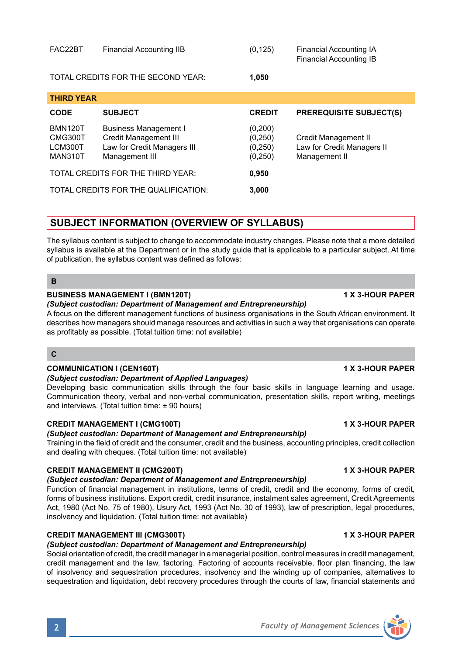| <b>BMN120T</b> | Business Management I       | (0,200)  |                            |
|----------------|-----------------------------|----------|----------------------------|
| CMG300T        | Credit Management III       | (0, 250) | Credit Management II       |
| LCM300T        | Law for Credit Managers III | (0, 250) | Law for Credit Managers II |
| MAN310T        | Management III              | (0, 250) | Management II              |

**CODE SUBJECT CREDIT PREREQUISITE SUBJECT(S)**

TOTAL CREDITS FOR THE QUALIFICATION: **3,000**

# **SUBJECT INFORMATION (OVERVIEW OF SYLLABUS)**

TOTAL CREDITS FOR THE THIRD YEAR: **0,950**

The syllabus content is subject to change to accommodate industry changes. Please note that a more detailed syllabus is available at the Department or in the study guide that is applicable to a particular subject. At time of publication, the syllabus content was defined as follows:

## **B**

**THIRD YEAR**

## **BUSINESS MANAGEMENT I (BMN120T) 1 X 3-HOUR PAPER**

### *(Subject custodian: Department of Management and Entrepreneurship)*

A focus on the different management functions of business organisations in the South African environment. It describes how managers should manage resources and activities in such a way that organisations can operate as profitably as possible. (Total tuition time: not available)

## **C**

## **COMMUNICATION I (CEN160T) 1 X 3-HOUR PAPER**

## *(Subject custodian: Department of Applied Languages)*

Developing basic communication skills through the four basic skills in language learning and usage. Communication theory, verbal and non-verbal communication, presentation skills, report writing, meetings and interviews. (Total tuition time: ± 90 hours)

### **CREDIT MANAGEMENT I (CMG100T) 1 X 3-HOUR PAPER**

### *(Subject custodian: Department of Management and Entrepreneurship)*

Training in the field of credit and the consumer, credit and the business, accounting principles, credit collection and dealing with cheques. (Total tuition time: not available)

# **CREDIT MANAGEMENT II (CMG200T) 1 X 3-HOUR PAPER**

### *(Subject custodian: Department of Management and Entrepreneurship)*

Function of financial management in institutions, terms of credit, credit and the economy, forms of credit, forms of business institutions. Export credit, credit insurance, instalment sales agreement, Credit Agreements Act, 1980 (Act No. 75 of 1980), Usury Act, 1993 (Act No. 30 of 1993), law of prescription, legal procedures, insolvency and liquidation. (Total tuition time: not available)

## **CREDIT MANAGEMENT III (CMG300T) 1 X 3-HOUR PAPER**

# *(Subject custodian: Department of Management and Entrepreneurship)*

Social orientation of credit, the credit manager in a managerial position, control measures in credit management, credit management and the law, factoring. Factoring of accounts receivable, floor plan financing, the law of insolvency and sequestration procedures, insolvency and the winding up of companies, alternatives to sequestration and liquidation, debt recovery procedures through the courts of law, financial statements and



TOTAL CREDITS FOR THE SECOND YEAR: **1,050**

FAC22BT Financial Accounting IIB (0,125) Financial Accounting IA Financial Accounting IB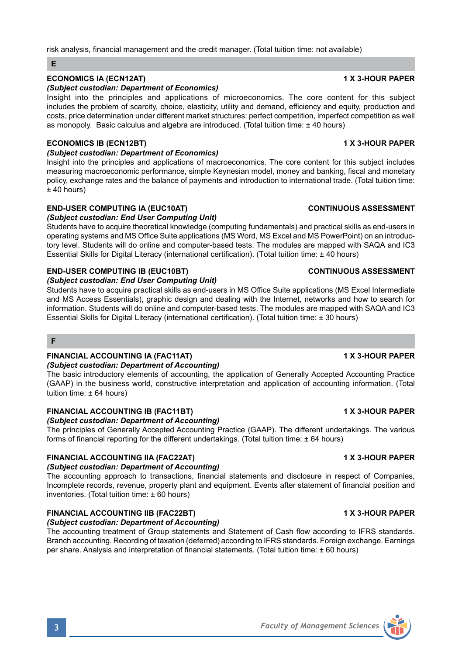### risk analysis, financial management and the credit manager. (Total tuition time: not available)

### **E**

# **ECONOMICS IA (ECN12AT) 1 X 3-HOUR PAPER**

## *(Subject custodian: Department of Economics)*

Insight into the principles and applications of microeconomics. The core content for this subject includes the problem of scarcity, choice, elasticity, utility and demand, efficiency and equity, production and costs, price determination under different market structures: perfect competition, imperfect competition as well as monopoly. Basic calculus and algebra are introduced. (Total tuition time: ± 40 hours)

# **ECONOMICS IB (ECN12BT) 1 X 3-HOUR PAPER**

# *(Subject custodian: Department of Economics)*

Insight into the principles and applications of macroeconomics. The core content for this subject includes measuring macroeconomic performance, simple Keynesian model, money and banking, fiscal and monetary policy, exchange rates and the balance of payments and introduction to international trade. (Total tuition time: ± 40 hours)

# **END-USER COMPUTING IA (EUC10AT) CONTINUOUS ASSESSMENT**

## *(Subject custodian: End User Computing Unit)*

Students have to acquire theoretical knowledge (computing fundamentals) and practical skills as end-users in operating systems and MS Office Suite applications (MS Word, MS Excel and MS PowerPoint) on an introductory level. Students will do online and computer-based tests. The modules are mapped with SAQA and IC3 Essential Skills for Digital Literacy (international certification). (Total tuition time: ± 40 hours)

# **END-USER COMPUTING IB (EUC10BT) CONTINUOUS ASSESSMENT**

## *(Subject custodian: End User Computing Unit)*

Students have to acquire practical skills as end-users in MS Office Suite applications (MS Excel Intermediate and MS Access Essentials), graphic design and dealing with the Internet, networks and how to search for information. Students will do online and computer-based tests. The modules are mapped with SAQA and IC3 Essential Skills for Digital Literacy (international certification). (Total tuition time: ± 30 hours)

### **F**

### **FINANCIAL ACCOUNTING IA (FAC11AT) 1 X 3-HOUR PAPER** *(Subject custodian: Department of Accounting)*

The basic introductory elements of accounting, the application of Generally Accepted Accounting Practice (GAAP) in the business world, constructive interpretation and application of accounting information. (Total tuition time:  $\pm$  64 hours)

### **FINANCIAL ACCOUNTING IB (FAC11BT) 1 X 3-HOUR PAPER**

*(Subject custodian: Department of Accounting)*

The principles of Generally Accepted Accounting Practice (GAAP). The different undertakings. The various forms of financial reporting for the different undertakings. (Total tuition time: ± 64 hours)

# **FINANCIAL ACCOUNTING IIA (FAC22AT) 1 X 3-HOUR PAPER**

## *(Subject custodian: Department of Accounting)*

The accounting approach to transactions, financial statements and disclosure in respect of Companies, Incomplete records, revenue, property plant and equipment. Events after statement of financial position and inventories. (Total tuition time: ± 60 hours)

# **FINANCIAL ACCOUNTING IIB (FAC22BT) 1 X 3-HOUR PAPER**

## *(Subject custodian: Department of Accounting)*

The accounting treatment of Group statements and Statement of Cash flow according to IFRS standards. Branch accounting. Recording of taxation (deferred) according to IFRS standards. Foreign exchange. Earnings per share. Analysis and interpretation of financial statements. (Total tuition time: ± 60 hours)